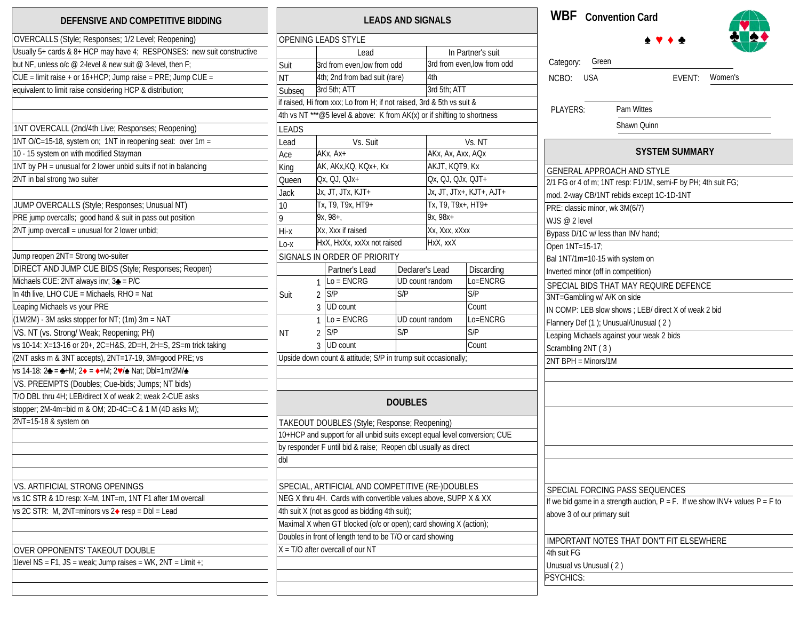## **DEFENSIVE AND COMPETITIVE BIDDING**

| OVERCALLS (Style; Responses; 1/2 Level; Reopening)                     |
|------------------------------------------------------------------------|
| Usually 5+ cards & 8+ HCP may have 4; RESPONSES: new suit constructive |
| but NF, unless o/c @ 2-level & new suit @ 3-level, then F;             |
| CUE = limit raise + or 16+HCP; Jump raise = PRE; Jump CUE =            |
| equivalent to limit raise considering HCP & distribution;              |
|                                                                        |
|                                                                        |
| 1NT OVERCALL (2nd/4th Live; Responses; Reopening)                      |
| 1NT O/C=15-18, system on; 1NT in reopening seat: over 1m =             |
| 10 - 15 system on with modified Stayman                                |
| 1NT by PH = unusual for 2 lower unbid suits if not in balancing        |
| 2NT in bal strong two suiter                                           |
|                                                                        |
| JUMP OVERCALLS (Style; Responses; Unusual NT)                          |
| PRE jump overcalls; good hand & suit in pass out position              |
| 2NT jump overcall = unusual for 2 lower unbid;                         |
| Jump reopen 2NT= Strong two-suiter                                     |
| DIRECT AND JUMP CUE BIDS (Style; Responses; Reopen)                    |
| Michaels CUE: 2NT always inv; 3 <sup>2</sup> = P/C                     |
| In 4th live, LHO CUE = Michaels, RHO = Nat                             |
| Leaping Michaels vs your PRE                                           |
| $(M/2M)$ - 3M asks stopper for NT; $(1m)$ 3m = NAT                     |
| VS. NT (vs. Strong/Weak; Reopening; PH)                                |
| vs 10-14: X=13-16 or 20+, 2C=H&S, 2D=H, 2H=S, 2S=m trick taking        |
| (2NT asks m & 3NT accepts), 2NT=17-19, 3M=good PRE; vs                 |
| vs 14-18: 2♣ = ♣+M; 2♦ = ♦+M; 2♥/≜ Nat; Dbl=1m/2M/≜                    |
| VS. PREEMPTS (Doubles; Cue-bids; Jumps; NT bids)                       |
| T/O DBL thru 4H; LEB/direct X of weak 2; weak 2-CUE asks               |
| stopper; 2M-4m=bid m & OM; 2D-4C=C & 1 M (4D asks M);                  |
| 2NT=15-18 & system on                                                  |
|                                                                        |
|                                                                        |
|                                                                        |
| VS. ARTIFICIAL STRONG OPENINGS                                         |
| vs 1C STR & 1D resp: X=M, 1NT=m, 1NT F1 after 1M overcall              |
| vs 2C STR: M, 2NT=minors vs $2♦$ resp = DbI = Lead                     |
|                                                                        |
| OVER OPPONENTS' TAKEOUT DOUBLE                                         |
| 1 level $NS = F1$ , $JS = weak$ ; Jump raises = WK, $2NT = Limit +$ ;  |
|                                                                        |
|                                                                        |

| DEFENSIVE AND COMPETITIVE BIDDING                                      |                                                                       | <b>LEADS AND SIGNALS</b>                                                            | <b>WBF</b> Convention Card                         |
|------------------------------------------------------------------------|-----------------------------------------------------------------------|-------------------------------------------------------------------------------------|----------------------------------------------------|
| OVERCALLS (Style; Responses; 1/2 Level; Reopening)                     | OPENING LEADS STYLE                                                   |                                                                                     | $\rightarrow$ 4                                    |
| Usually 5+ cards & 8+ HCP may have 4; RESPONSES: new suit constructive | Lead                                                                  | In Partner's suit                                                                   |                                                    |
| but NF, unless o/c @ 2-level & new suit @ 3-level, then F;             | Suit<br>3rd from even, low from odd                                   | 3rd from even, low from odd                                                         | Green<br>Category:                                 |
| $CUE =$ limit raise + or 16+HCP; Jump raise = PRE; Jump $CUE =$        | 4th; 2nd from bad suit (rare)<br><b>NT</b>                            | 4th                                                                                 | <b>USA</b><br>NCBO:<br><b>EV</b>                   |
| equivalent to limit raise considering HCP & distribution;              | 3rd 5th; ATT<br>Subseq                                                | 3rd 5th; ATT                                                                        |                                                    |
|                                                                        | if raised, Hi from xxx; Lo from H; if not raised, 3rd & 5th vs suit & |                                                                                     | PLAYERS:<br>Pam Wittes                             |
|                                                                        |                                                                       | 4th vs NT <sup>***</sup> @5 level & above: K from AK(x) or if shifting to shortness |                                                    |
| 1NT OVERCALL (2nd/4th Live; Responses; Reopening)                      | <b>LEADS</b>                                                          |                                                                                     | Shawn Quinn                                        |
| 1NT O/C=15-18, system on; 1NT in reopening seat: over 1m =             | Vs. Suit<br>Lead                                                      | Vs. NT                                                                              |                                                    |
| 10 - 15 system on with modified Stayman                                | AKx, Ax+<br>Ace                                                       | AKx, Ax, Axx, AQx                                                                   | <b>SYSTEM SU</b>                                   |
| 1NT by PH = unusual for 2 lower unbid suits if not in balancing        | AK, AKx, KQ, KQx+, Kx<br>King                                         | AKJT, KQT9, Kx                                                                      | GENERAL APPROACH AND STYLE                         |
| 2NT in bal strong two suiter                                           | Qx, QJ, QJx+<br>Queen                                                 | Qx, QJ, QJx, QJT+                                                                   | 2/1 FG or 4 of m; 1NT resp: F1/1M, semi-F b        |
|                                                                        | Jx, JT, JTx, KJT+<br>Jack                                             | Jx, JT, JTx+, KJT+, AJT+                                                            | mod. 2-way CB/1NT rebids except 1C-1D-1M           |
| JUMP OVERCALLS (Style; Responses; Unusual NT)                          | Tx, T9, T9x, HT9+<br>10                                               | Tx, T9, T9x+, HT9+                                                                  | PRE: classic minor, wk 3M(6/7)                     |
| PRE jump overcalls; good hand & suit in pass out position              | 9x, 98+,<br>9                                                         | 9x, 98x+                                                                            | WJS @ 2 level                                      |
| $2NT$ jump overcall = unusual for 2 lower unbid;                       | Xx, Xxx if raised<br>Hi-x                                             | Xx, Xxx, xXxx                                                                       | Bypass D/1C w/ less than INV hand;                 |
|                                                                        | HxX, HxXx, xxXx not raised<br>Lo-x                                    | HxX, xxX                                                                            | Open 1NT=15-17;                                    |
| Jump reopen 2NT= Strong two-suiter                                     | SIGNALS IN ORDER OF PRIORITY                                          |                                                                                     | Bal 1NT/1m=10-15 with system on                    |
| DIRECT AND JUMP CUE BIDS (Style; Responses; Reopen)                    | Partner's Lead                                                        | Declarer's Lead<br>Discarding                                                       | Inverted minor (off in competition)                |
| Michaels CUE: 2NT always inv; 3 <sup>2</sup> = P/C                     | $\overline{L}$ o = ENCRG<br>$\mathbf{1}$                              | Lo=ENCRG<br>UD count random                                                         | SPECIAL BIDS THAT MAY REQUIRE DE                   |
| In 4th live, LHO CUE = Michaels, RHO = Nat                             | $2$ S/P<br>Suit                                                       | S/P<br>S/P                                                                          | 3NT=Gambling w/ A/K on side                        |
| Leaping Michaels vs your PRE                                           | 3 UD count                                                            | Count                                                                               | IN COMP: LEB slow shows ; LEB/ direct X o          |
| $(1M/2M)$ - 3M asks stopper for NT; $(1m)$ 3m = NAT                    | $Lo = ENCRG$<br>$\mathbf{1}$                                          | Lo=ENCRG<br>UD count random                                                         | Flannery Def (1); Unusual/Unusual (2)              |
| VS. NT (vs. Strong/Weak; Reopening; PH)                                | $2$ S/P<br>ΝT                                                         | S/P<br>S/P                                                                          | Leaping Michaels against your weak 2 bids          |
| vs 10-14: X=13-16 or 20+, 2C=H&S, 2D=H, 2H=S, 2S=m trick taking        | 3 UD count                                                            | Count                                                                               | Scrambling 2NT (3)                                 |
| (2NT asks m & 3NT accepts), 2NT=17-19, 3M=good PRE; vs                 | Upside down count & attitude; S/P in trump suit occasionally;         |                                                                                     | $2NT BPH = Minors/1M$                              |
| vs 14-18: 2♣ = ♣+M; 2♦ = ♦+M; 2♥/♠ Nat; Dbl=1m/2M/♠                    |                                                                       |                                                                                     |                                                    |
| VS. PREEMPTS (Doubles; Cue-bids; Jumps; NT bids)                       |                                                                       |                                                                                     |                                                    |
| T/O DBL thru 4H; LEB/direct X of weak 2; weak 2-CUE asks               |                                                                       | <b>DOUBLES</b>                                                                      |                                                    |
| stopper; 2M-4m=bid m & OM; 2D-4C=C & 1 M (4D asks M);                  |                                                                       |                                                                                     |                                                    |
| 2NT=15-18 & system on                                                  | TAKEOUT DOUBLES (Style; Response; Reopening)                          |                                                                                     |                                                    |
|                                                                        |                                                                       | 10+HCP and support for all unbid suits except equal level conversion; CUE           |                                                    |
|                                                                        | by responder F until bid & raise; Reopen dbl usually as direct        |                                                                                     |                                                    |
|                                                                        | dbl                                                                   |                                                                                     |                                                    |
| VS. ARTIFICIAL STRONG OPENINGS                                         | SPECIAL, ARTIFICIAL AND COMPETITIVE (RE-)DOUBLES                      |                                                                                     | SPECIAL FORCING PASS SEQUENCES                     |
| vs 1C STR & 1D resp: X=M, 1NT=m, 1NT F1 after 1M overcall              |                                                                       | NEG X thru 4H. Cards with convertible values above, SUPP X & XX                     | If we bid game in a strength auction, $P = F$ . If |
| vs 2C STR: M, 2NT=minors vs 2♦ resp = Dbl = Lead                       | 4th suit X (not as good as bidding 4th suit);                         |                                                                                     | above 3 of our primary suit                        |
|                                                                        |                                                                       | Maximal X when GT blocked (o/c or open); card showing X (action);                   |                                                    |
|                                                                        | Doubles in front of length tend to be T/O or card showing             |                                                                                     | IMPORTANT NOTES THAT DON'T FIT E                   |
| OVER OPPONENTS' TAKEOUT DOUBLE                                         | $X = T/O$ after overcall of our NT                                    |                                                                                     | 4th suit FG                                        |
| 1 level $NS = F1$ , $JS = weak$ ; Jump raises = WK, $2NT = Limit +;$   |                                                                       |                                                                                     | Unusual vs Unusual (2)                             |
|                                                                        |                                                                       |                                                                                     | PSYCHICS:                                          |
|                                                                        |                                                                       |                                                                                     |                                                    |

**WBF Convention Card**



| Green<br>Category:                        |                                                                                   |
|-------------------------------------------|-----------------------------------------------------------------------------------|
| NCBO:<br><b>USA</b>                       | Women's<br>EVENT:                                                                 |
| PLAYERS:                                  | Pam Wittes                                                                        |
|                                           | Shawn Quinn                                                                       |
|                                           |                                                                                   |
|                                           | <b>SYSTEM SUMMARY</b>                                                             |
| <b>GENERAL APPROACH AND STYLE</b>         |                                                                                   |
|                                           | 2/1 FG or 4 of m; 1NT resp: F1/1M, semi-F by PH; 4th suit FG;                     |
| mod. 2-way CB/1NT rebids except 1C-1D-1NT |                                                                                   |
| PRE: classic minor, wk 3M(6/7)            |                                                                                   |
| WJS $@$ 2 level                           |                                                                                   |
| Bypass D/1C w/ less than INV hand;        |                                                                                   |
| Open 1NT=15-17;                           |                                                                                   |
| Bal 1NT/1m=10-15 with system on           |                                                                                   |
| Inverted minor (off in competition)       |                                                                                   |
|                                           | SPECIAL BIDS THAT MAY REQUIRE DEFENCE                                             |
| 3NT=Gambling w/ A/K on side               |                                                                                   |
|                                           | IN COMP: LEB slow shows ; LEB/ direct X of weak 2 bid                             |
| Flannery Def (1); Unusual/Unusual (2)     |                                                                                   |
| Leaping Michaels against your weak 2 bids |                                                                                   |
| Scrambling 2NT (3)                        |                                                                                   |
| 2NT BPH = Minors/1M                       |                                                                                   |
|                                           |                                                                                   |
|                                           |                                                                                   |
|                                           |                                                                                   |
|                                           |                                                                                   |
|                                           |                                                                                   |
|                                           |                                                                                   |
|                                           |                                                                                   |
|                                           |                                                                                   |
|                                           |                                                                                   |
| SPECIAL FORCING PASS SEQUENCES            |                                                                                   |
|                                           | If we bid game in a strength auction, $P = F$ . If we show INV+ values $P = F$ to |
| above 3 of our primary suit               |                                                                                   |
|                                           | <b>IMPORTANT NOTES THAT DON'T FIT ELSEWHERE</b>                                   |
|                                           |                                                                                   |
| 4th suit FG                               |                                                                                   |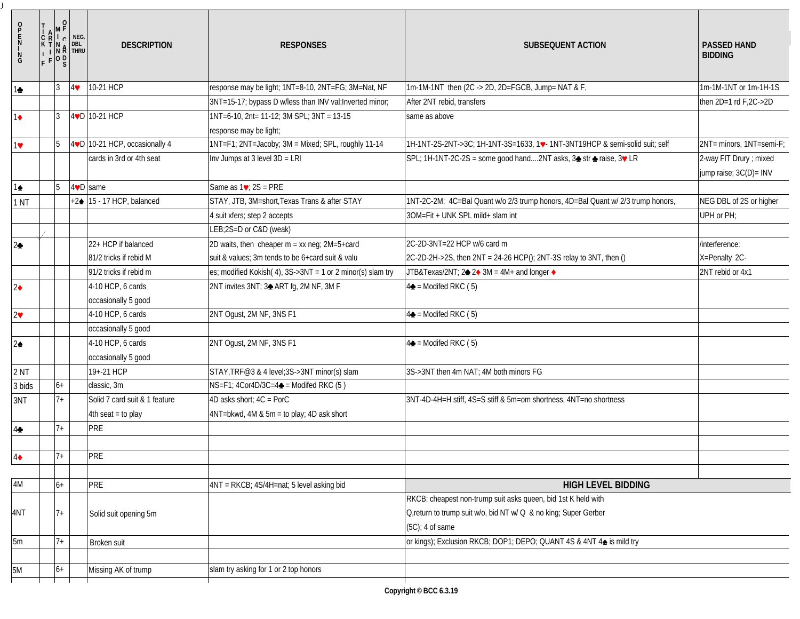| $\frac{N}{G}$          | $\mathbf 0$<br>R.<br>$\mathsf{L}_\mathsf{C}$<br>$\mathbb{N}$ R<br>$F P$ <sup>0 D</sup> <sub>S</sub> | NEG.<br>DBL<br><b>THRU</b> | <b>DESCRIPTION</b>                   | <b>RESPONSES</b>                                           | <b>SUBSEQUENT ACTION</b>                                                                                                                               | <b>PASSED HAND</b><br><b>BIDDING</b>              |
|------------------------|-----------------------------------------------------------------------------------------------------|----------------------------|--------------------------------------|------------------------------------------------------------|--------------------------------------------------------------------------------------------------------------------------------------------------------|---------------------------------------------------|
| 10                     | $\overline{3}$                                                                                      | 4                          | 10-21 HCP                            | response may be light; 1NT=8-10, 2NT=FG; 3M=Nat, NF        | 1m-1M-1NT then (2C -> 2D, 2D=FGCB, Jump= NAT & F,                                                                                                      | 1m-1M-1NT or 1m-1H-1S                             |
|                        |                                                                                                     |                            |                                      | 3NT=15-17; bypass D w/less than INV val; Inverted minor;   | After 2NT rebid, transfers                                                                                                                             | then $2D=1$ rd $F$ , $2C \rightarrow 2D$          |
| $1\bullet$             | $\overline{3}$                                                                                      |                            | $40$ 10-21 HCP                       | 1NT=6-10, 2nt= 11-12; 3M SPL; 3NT = 13-15                  | same as above                                                                                                                                          |                                                   |
|                        |                                                                                                     |                            |                                      | response may be light;                                     |                                                                                                                                                        |                                                   |
| 17                     | 5                                                                                                   |                            | 4VD 10-21 HCP, occasionally 4        | 1NT=F1; 2NT=Jacoby; 3M = Mixed; SPL, roughly 11-14         | 1H-1NT-2S-2NT->3C; 1H-1NT-3S=1633, 1. 1NT-3NT19HCP & semi-solid suit; self                                                                             | 2NT= minors, 1NT=semi-F;                          |
|                        |                                                                                                     |                            | cards in 3rd or 4th seat             | Inv Jumps at 3 level 3D = LRI                              | SPL; 1H-1NT-2C-2S = some good hand2NT asks, 3→ str → raise, 3♥ LR                                                                                      | 2-way FIT Drury ; mixed<br>jump raise; 3C(D)= INV |
| 1≜                     |                                                                                                     |                            | $4\ntriangleright$ same              | Same as $1\blacktriangleright$ : 2S = PRE                  |                                                                                                                                                        |                                                   |
| 1 <sub>NT</sub>        |                                                                                                     |                            | +2 $\triangle$ 15 - 17 HCP, balanced | STAY, JTB, 3M=short, Texas Trans & after STAY              | 1NT-2C-2M: 4C=Bal Quant w/o 2/3 trump honors, 4D=Bal Quant w/ 2/3 trump honors,                                                                        | NEG DBL of 2S or higher                           |
|                        |                                                                                                     |                            |                                      | 4 suit xfers; step 2 accepts                               | 3OM=Fit + UNK SPL mild+ slam int                                                                                                                       | UPH or PH;                                        |
|                        |                                                                                                     |                            |                                      | LEB;2S=D or C&D (weak)                                     |                                                                                                                                                        |                                                   |
| $2\blacktriangleright$ |                                                                                                     |                            | 22+ HCP if balanced                  | 2D waits, then cheaper $m = xx$ neq; $2M=5+card$           | 2C-2D-3NT=22 HCP w/6 card m                                                                                                                            | /interference:                                    |
|                        |                                                                                                     |                            | 81/2 tricks if rebid M               | suit & values; 3m tends to be 6+card suit & valu           | 2C-2D-2H->2S, then 2NT = 24-26 HCP(); 2NT-3S relay to 3NT, then ()                                                                                     | X=Penalty 2C-                                     |
|                        |                                                                                                     |                            | 91/2 tricks if rebid m               | es; modified Kokish(4), 3S->3NT = 1 or 2 minor(s) slam try | JTB&Texas/2NT; 2→ 2→ 3M = 4M+ and longer →                                                                                                             | 2NT rebid or 4x1                                  |
| $2\bullet$             |                                                                                                     |                            | 4-10 HCP, 6 cards                    | 2NT invites 3NT; 3→ ART fg, 2M NF, 3M F                    | $4\clubsuit$ = Modifed RKC (5)                                                                                                                         |                                                   |
|                        |                                                                                                     |                            | occasionally 5 good                  |                                                            |                                                                                                                                                        |                                                   |
| $2\blacktriangledown$  |                                                                                                     |                            | 4-10 HCP, 6 cards                    | 2NT Ogust, 2M NF, 3NS F1                                   | $4\triangle$ = Modifed RKC (5)                                                                                                                         |                                                   |
|                        |                                                                                                     |                            | occasionally 5 good                  |                                                            |                                                                                                                                                        |                                                   |
| $2\blacktriangle$      |                                                                                                     |                            | 4-10 HCP, 6 cards                    | 2NT Ogust, 2M NF, 3NS F1                                   | $4\triangle$ = Modifed RKC (5)                                                                                                                         |                                                   |
|                        |                                                                                                     |                            | occasionally 5 good                  |                                                            |                                                                                                                                                        |                                                   |
| 2 <sub>NT</sub>        |                                                                                                     |                            | 19+-21 HCP                           | STAY, TRF@3 & 4 level; 3S->3NT minor(s) slam               | 3S->3NT then 4m NAT; 4M both minors FG                                                                                                                 |                                                   |
| 3 bids                 | $6+$                                                                                                |                            | classic, 3m                          | NS=F1; 4Cor4D/3C=4→ = Modifed RKC (5)                      |                                                                                                                                                        |                                                   |
| 3NT                    | $7+$                                                                                                |                            | Solid 7 card suit & 1 feature        | 4D asks short; 4C = PorC                                   | 3NT-4D-4H=H stiff, 4S=S stiff & 5m=om shortness, 4NT=no shortness                                                                                      |                                                   |
|                        |                                                                                                     |                            | $4th$ seat = to play                 | 4NT=bkwd, 4M & 5m = to play; 4D ask short                  |                                                                                                                                                        |                                                   |
| $4\spadesuit$          | $7+$                                                                                                |                            | PRE                                  |                                                            |                                                                                                                                                        |                                                   |
|                        |                                                                                                     |                            |                                      |                                                            |                                                                                                                                                        |                                                   |
| $4\bullet$             | $7+$                                                                                                |                            | PRE                                  |                                                            |                                                                                                                                                        |                                                   |
| 4M                     | $6+$                                                                                                |                            | PRE                                  | 4NT = RKCB; 4S/4H=nat; 5 level asking bid                  | <b>HIGH LEVEL BIDDING</b>                                                                                                                              |                                                   |
| 4NT                    | $7+$                                                                                                |                            | Solid suit opening 5m                |                                                            | RKCB: cheapest non-trump suit asks queen, bid 1st K held with<br>O,return to trump suit w/o, bid NT w/ Q & no king; Super Gerber<br>$(5C)$ ; 4 of same |                                                   |
| 5m                     | $7+$                                                                                                |                            | Broken suit                          |                                                            | or kings); Exclusion RKCB; DOP1; DEPO; QUANT 4S & 4NT 4 $\triangleq$ is mild try                                                                       |                                                   |
| 5M                     | $6+$                                                                                                |                            | Missing AK of trump                  | slam try asking for 1 or 2 top honors                      |                                                                                                                                                        |                                                   |
|                        |                                                                                                     |                            |                                      |                                                            |                                                                                                                                                        |                                                   |